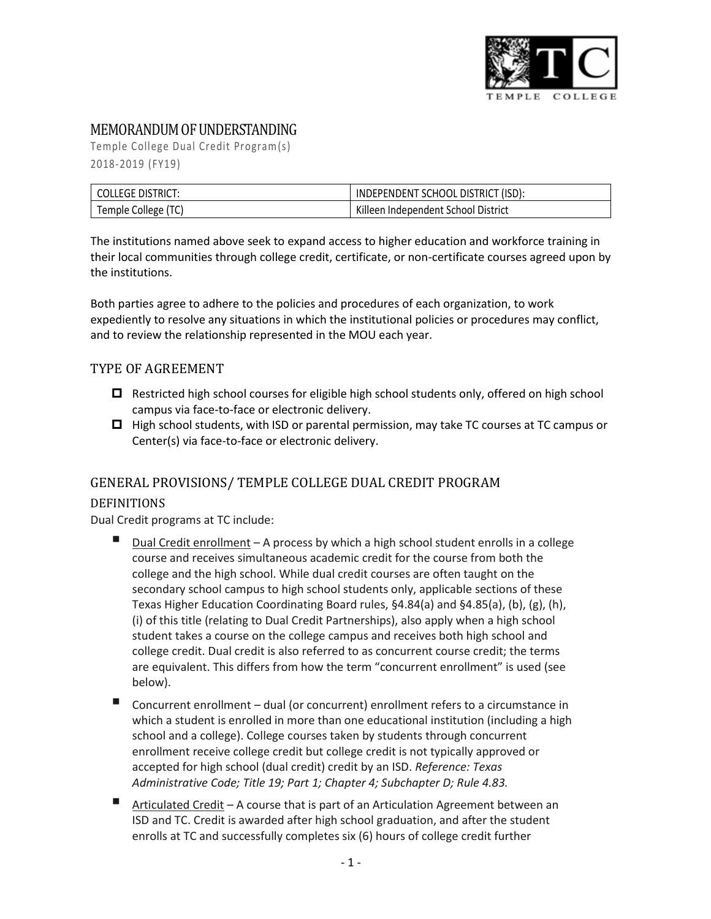

# MEMORANDUM OF UNDERSTANDING

Temple College Dual Credit Program(s) 2018-2019 (FY19)

| <b>COLLEGE DISTRICT:</b> | INDEPENDENT SCHOOL DISTRICT (ISD):  |
|--------------------------|-------------------------------------|
| Temple College (TC)      | Killeen Independent School District |

The institutions named above seek to expand access to higher education and workforce training in their local communities through college credit, certificate, or non-certificate courses agreed upon by the institutions.

Both parties agree to adhere to the policies and procedures of each organization, to work expediently to resolve any situations in which the institutional policies or procedures may conflict, and to review the relationship represented in the MOU each year.

#### TYPE OF AGREEMENT

- $\Box$  Restricted high school courses for eligible high school students only, offered on high school campus via face-to-face or electronic delivery.
- $\Box$  High school students, with ISD or parental permission, may take TC courses at TC campus or Center(s) via face-to-face or electronic delivery.

# GENERAL PROVISIONS/ TEMPLE COLLEGE DUAL CREDIT PROGRAM

#### DEFINITIONS

Dual Credit programs at TC include:

- Dual Credit enrollment A process by which a high school student enrolls in a college course and receives simultaneous academic credit for the course from both the college and the high school. While dual credit courses are often taught on the secondary school campus to high school students only, applicable sections of these Texas Higher Education Coordinating Board rules, §4.84(a) and §4.85(a), (b), (g), (h), (i) of this title (relating to Dual Credit Partnerships), also apply when a high school student takes a course on the college campus and receives both high school and college credit. Dual credit is also referred to as concurrent course credit; the terms are equivalent. This differs from how the term "concurrent enrollment" is used (see below).
- Concurrent enrollment dual (or concurrent) enrollment refers to a circumstance in which a student is enrolled in more than one educational institution (including a high school and a college). College courses taken by students through concurrent enrollment receive college credit but college credit is not typically approved or accepted for high school (dual credit) credit by an ISD. *Reference: Texas Administrative Code; Title 19; Part 1; Chapter 4; Subchapter D; Rule 4.83.*
- Articulated Credit A course that is part of an Articulation Agreement between an ISD and TC. Credit is awarded after high school graduation, and after the student enrolls at TC and successfully completes six (6) hours of college credit further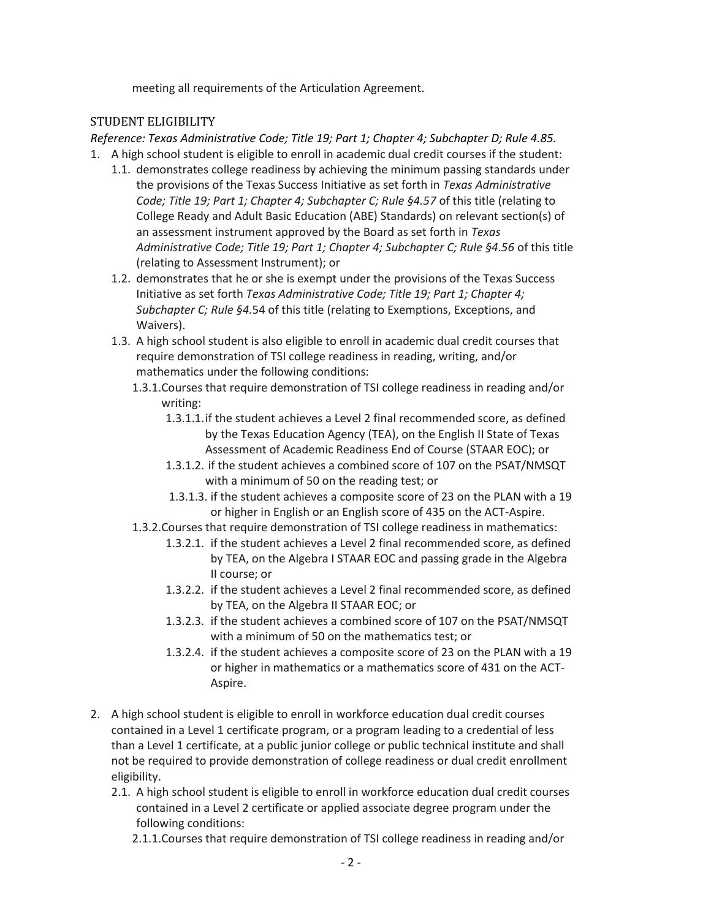meeting all requirements of the Articulation Agreement.

#### STUDENT ELIGIBILITY

*Reference: Texas Administrative Code; Title 19; Part 1; Chapter 4; Subchapter D; Rule 4.85.* 1. A high school student is eligible to enroll in academic dual credit courses if the student:

- 1.1. demonstrates college readiness by achieving the minimum passing standards under the provisions of the Texas Success Initiative as set forth in *Texas Administrative Code; Title 19; Part 1; Chapter 4; Subchapter C; Rule §4.57 of this title (relating to* College Ready and Adult Basic Education (ABE) Standards) on relevant section(s) of an assessment instrument approved by the Board as set forth in *Texas Administrative Code; Title 19; Part 1; Chapter 4; Subchapter C; Rule §4.56* of this title (relating to Assessment Instrument); or
- 1.2. demonstrates that he or she is exempt under the provisions of the Texas Success Initiative as set forth *Texas Administrative Code; Title 19; Part 1; Chapter 4; Subchapter C; Rule §4.*54 of this title (relating to Exemptions, Exceptions, and Waivers).
- 1.3. A high school student is also eligible to enroll in academic dual credit courses that require demonstration of TSI college readiness in reading, writing, and/or mathematics under the following conditions:
	- 1.3.1.Courses that require demonstration of TSI college readiness in reading and/or writing:
		- 1.3.1.1.if the student achieves a Level 2 final recommended score, as defined by the Texas Education Agency (TEA), on the English II State of Texas Assessment of Academic Readiness End of Course (STAAR EOC); or
		- 1.3.1.2. if the student achieves a combined score of 107 on the PSAT/NMSQT with a minimum of 50 on the reading test; or
		- 1.3.1.3. if the student achieves a composite score of 23 on the PLAN with a 19 or higher in English or an English score of 435 on the ACT-Aspire.
	- 1.3.2.Courses that require demonstration of TSI college readiness in mathematics:
		- 1.3.2.1. if the student achieves a Level 2 final recommended score, as defined by TEA, on the Algebra I STAAR EOC and passing grade in the Algebra II course; or
		- 1.3.2.2. if the student achieves a Level 2 final recommended score, as defined by TEA, on the Algebra II STAAR EOC; or
		- 1.3.2.3. if the student achieves a combined score of 107 on the PSAT/NMSQT with a minimum of 50 on the mathematics test; or
		- 1.3.2.4. if the student achieves a composite score of 23 on the PLAN with a 19 or higher in mathematics or a mathematics score of 431 on the ACT-Aspire.
- 2. A high school student is eligible to enroll in workforce education dual credit courses contained in a Level 1 certificate program, or a program leading to a credential of less than a Level 1 certificate, at a public junior college or public technical institute and shall not be required to provide demonstration of college readiness or dual credit enrollment eligibility.
	- 2.1. A high school student is eligible to enroll in workforce education dual credit courses contained in a Level 2 certificate or applied associate degree program under the following conditions:

2.1.1.Courses that require demonstration of TSI college readiness in reading and/or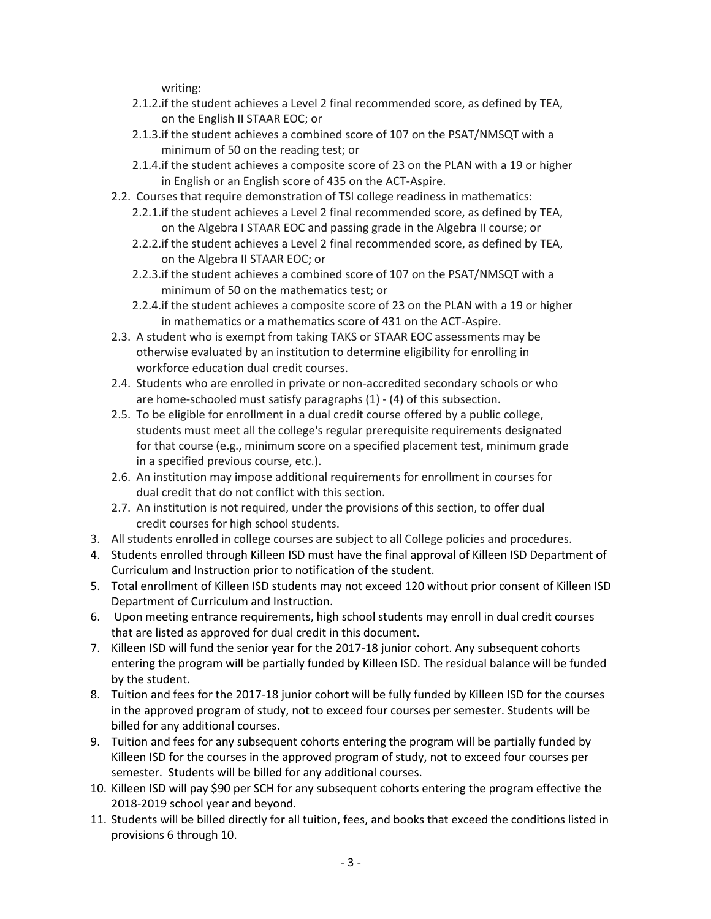writing:

- 2.1.2.if the student achieves a Level 2 final recommended score, as defined by TEA, on the English II STAAR EOC; or
- 2.1.3.if the student achieves a combined score of 107 on the PSAT/NMSQT with a minimum of 50 on the reading test; or
- 2.1.4.if the student achieves a composite score of 23 on the PLAN with a 19 or higher in English or an English score of 435 on the ACT-Aspire.
- 2.2. Courses that require demonstration of TSI college readiness in mathematics:
	- 2.2.1.if the student achieves a Level 2 final recommended score, as defined by TEA, on the Algebra I STAAR EOC and passing grade in the Algebra II course; or
	- 2.2.2.if the student achieves a Level 2 final recommended score, as defined by TEA, on the Algebra II STAAR EOC; or
	- 2.2.3.if the student achieves a combined score of 107 on the PSAT/NMSQT with a minimum of 50 on the mathematics test; or
	- 2.2.4.if the student achieves a composite score of 23 on the PLAN with a 19 or higher in mathematics or a mathematics score of 431 on the ACT-Aspire.
- 2.3. A student who is exempt from taking TAKS or STAAR EOC assessments may be otherwise evaluated by an institution to determine eligibility for enrolling in workforce education dual credit courses.
- 2.4. Students who are enrolled in private or non-accredited secondary schools or who are home-schooled must satisfy paragraphs (1) - (4) of this subsection.
- 2.5. To be eligible for enrollment in a dual credit course offered by a public college, students must meet all the college's regular prerequisite requirements designated for that course (e.g., minimum score on a specified placement test, minimum grade in a specified previous course, etc.).
- 2.6. An institution may impose additional requirements for enrollment in courses for dual credit that do not conflict with this section.
- 2.7. An institution is not required, under the provisions of this section, to offer dual credit courses for high school students.
- 3. All students enrolled in college courses are subject to all College policies and procedures.
- 4. Students enrolled through Killeen ISD must have the final approval of Killeen ISD Department of Curriculum and Instruction prior to notification of the student.
- 5. Total enrollment of Killeen ISD students may not exceed 120 without prior consent of Killeen ISD Department of Curriculum and Instruction.
- 6. Upon meeting entrance requirements, high school students may enroll in dual credit courses that are listed as approved for dual credit in this document.
- 7. Killeen ISD will fund the senior year for the 2017-18 junior cohort. Any subsequent cohorts entering the program will be partially funded by Killeen ISD. The residual balance will be funded by the student.
- 8. Tuition and fees for the 2017-18 junior cohort will be fully funded by Killeen ISD for the courses in the approved program of study, not to exceed four courses per semester. Students will be billed for any additional courses.
- 9. Tuition and fees for any subsequent cohorts entering the program will be partially funded by Killeen ISD for the courses in the approved program of study, not to exceed four courses per semester. Students will be billed for any additional courses.
- 10. Killeen ISD will pay \$90 per SCH for any subsequent cohorts entering the program effective the 2018-2019 school year and beyond.
- 11. Students will be billed directly for all tuition, fees, and books that exceed the conditions listed in provisions 6 through 10.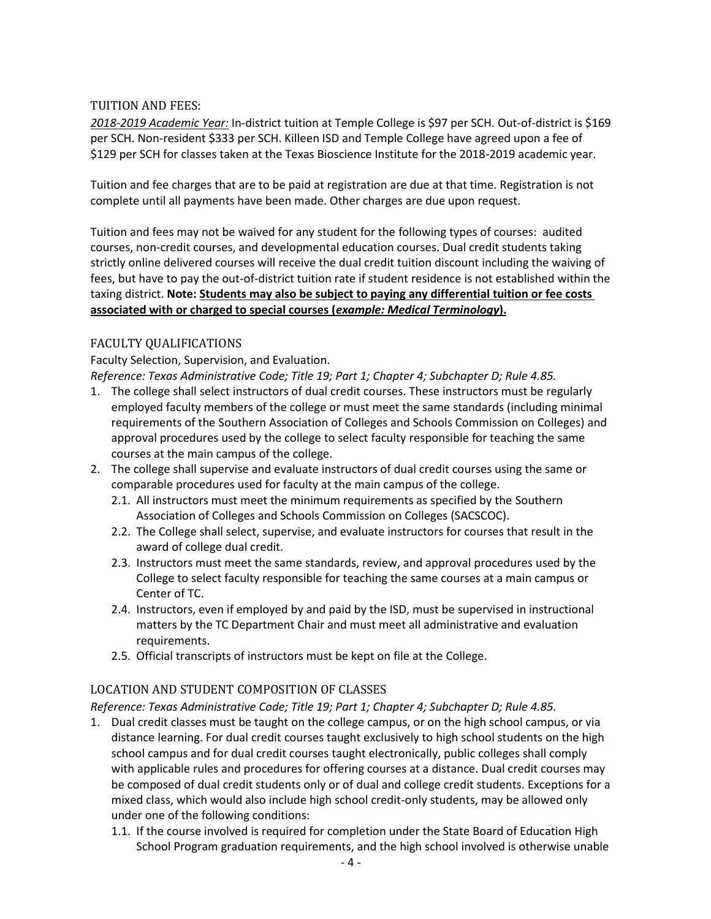#### TUITION AND FEES:

*2018-2019 Academic Year:* In-district tuition at Temple College is \$97 per SCH. Out-of-district is \$169 per SCH. Non-resident \$333 per SCH. Killeen ISD and Temple College have agreed upon a fee of \$129 per SCH for classes taken at the Texas Bioscience Institute for the 2018-2019 academic year.

Tuition and fee charges that are to be paid at registration are due at that time. Registration is not complete until all payments have been made. Other charges are due upon request.

Tuition and fees may not be waived for any student for the following types of courses: audited courses, non-credit courses, and developmental education courses. Dual credit students taking strictly online delivered courses will receive the dual credit tuition discount including the waiving of fees, but have to pay the out-of-district tuition rate if student residence is not established within the taxing district. **Note: Students may also be subject to paying any differential tuition or fee costs associated with or charged to special courses (***example: Medical Terminology***).**

## FACULTY QUALIFICATIONS

Faculty Selection, Supervision, and Evaluation. *Reference: Texas Administrative Code; Title 19; Part 1; Chapter 4; Subchapter D; Rule 4.85.*

- 1. The college shall select instructors of dual credit courses. These instructors must be regularly employed faculty members of the college or must meet the same standards (including minimal requirements of the Southern Association of Colleges and Schools Commission on Colleges) and approval procedures used by the college to select faculty responsible for teaching the same courses at the main campus of the college.
- 2. The college shall supervise and evaluate instructors of dual credit courses using the same or comparable procedures used for faculty at the main campus of the college.
	- 2.1. All instructors must meet the minimum requirements as specified by the Southern Association of Colleges and Schools Commission on Colleges (SACSCOC).
	- 2.2. The College shall select, supervise, and evaluate instructors for courses that result in the award of college dual credit.
	- 2.3. Instructors must meet the same standards, review, and approval procedures used by the College to select faculty responsible for teaching the same courses at a main campus or Center of TC.
	- 2.4. Instructors, even if employed by and paid by the ISD, must be supervised in instructional matters by the TC Department Chair and must meet all administrative and evaluation requirements.
	- 2.5. Official transcripts of instructors must be kept on file at the College.

#### LOCATION AND STUDENT COMPOSITION OF CLASSES

*Reference: Texas Administrative Code; Title 19; Part 1; Chapter 4; Subchapter D; Rule 4.85.*

- 1. Dual credit classes must be taught on the college campus, or on the high school campus, or via distance learning. For dual credit courses taught exclusively to high school students on the high school campus and for dual credit courses taught electronically, public colleges shall comply with applicable rules and procedures for offering courses at a distance. Dual credit courses may be composed of dual credit students only or of dual and college credit students. Exceptions for a mixed class, which would also include high school credit-only students, may be allowed only under one of the following conditions:
	- 1.1. If the course involved is required for completion under the State Board of Education High School Program graduation requirements, and the high school involved is otherwise unable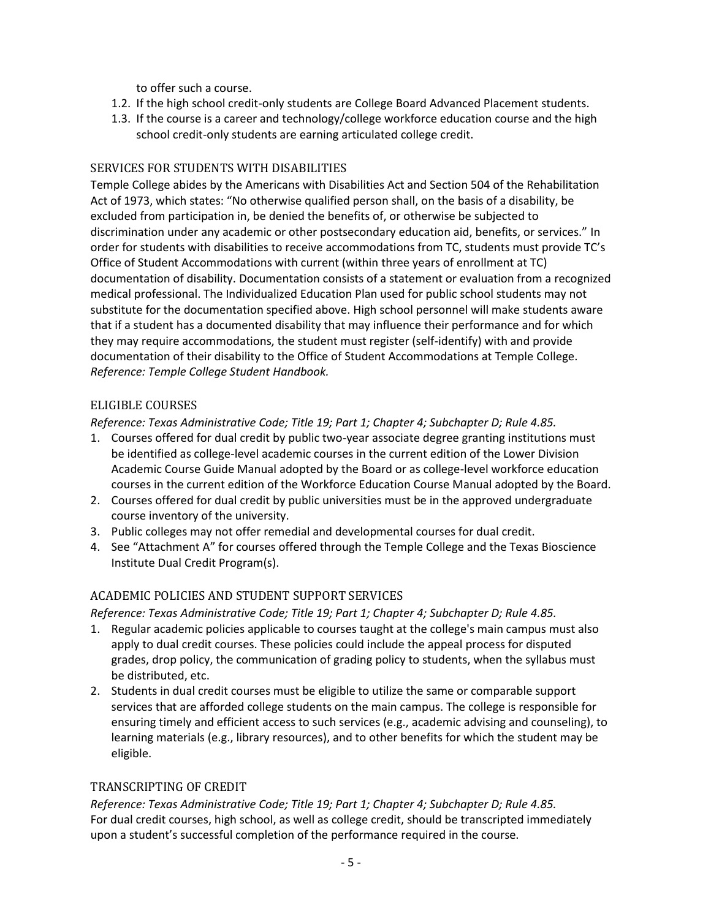to offer such a course.

- 1.2. If the high school credit-only students are College Board Advanced Placement students.
- 1.3. If the course is a career and technology/college workforce education course and the high school credit-only students are earning articulated college credit.

#### SERVICES FOR STUDENTS WITH DISABILITIES

Temple College abides by the Americans with Disabilities Act and Section 504 of the Rehabilitation Act of 1973, which states: "No otherwise qualified person shall, on the basis of a disability, be excluded from participation in, be denied the benefits of, or otherwise be subjected to discrimination under any academic or other postsecondary education aid, benefits, or services." In order for students with disabilities to receive accommodations from TC, students must provide TC's Office of Student Accommodations with current (within three years of enrollment at TC) documentation of disability. Documentation consists of a statement or evaluation from a recognized medical professional. The Individualized Education Plan used for public school students may not substitute for the documentation specified above. High school personnel will make students aware that if a student has a documented disability that may influence their performance and for which they may require accommodations, the student must register (self-identify) with and provide documentation of their disability to the Office of Student Accommodations at Temple College. *Reference: Temple College Student Handbook.*

#### ELIGIBLE COURSES

*Reference: Texas Administrative Code; Title 19; Part 1; Chapter 4; Subchapter D; Rule 4.85.*

- 1. Courses offered for dual credit by public two-year associate degree granting institutions must be identified as college-level academic courses in the current edition of the Lower Division Academic Course Guide Manual adopted by the Board or as college-level workforce education courses in the current edition of the Workforce Education Course Manual adopted by the Board.
- 2. Courses offered for dual credit by public universities must be in the approved undergraduate course inventory of the university.
- 3. Public colleges may not offer remedial and developmental courses for dual credit.
- 4. See "Attachment A" for courses offered through the Temple College and the Texas Bioscience Institute Dual Credit Program(s).

# ACADEMIC POLICIES AND STUDENT SUPPORT SERVICES

*Reference: Texas Administrative Code; Title 19; Part 1; Chapter 4; Subchapter D; Rule 4.85.*

- 1. Regular academic policies applicable to courses taught at the college's main campus must also apply to dual credit courses. These policies could include the appeal process for disputed grades, drop policy, the communication of grading policy to students, when the syllabus must be distributed, etc.
- 2. Students in dual credit courses must be eligible to utilize the same or comparable support services that are afforded college students on the main campus. The college is responsible for ensuring timely and efficient access to such services (e.g., academic advising and counseling), to learning materials (e.g., library resources), and to other benefits for which the student may be eligible.

#### TRANSCRIPTING OF CREDIT

*Reference: Texas Administrative Code; Title 19; Part 1; Chapter 4; Subchapter D; Rule 4.85.* For dual credit courses, high school, as well as college credit, should be transcripted immediately upon a student's successful completion of the performance required in the course.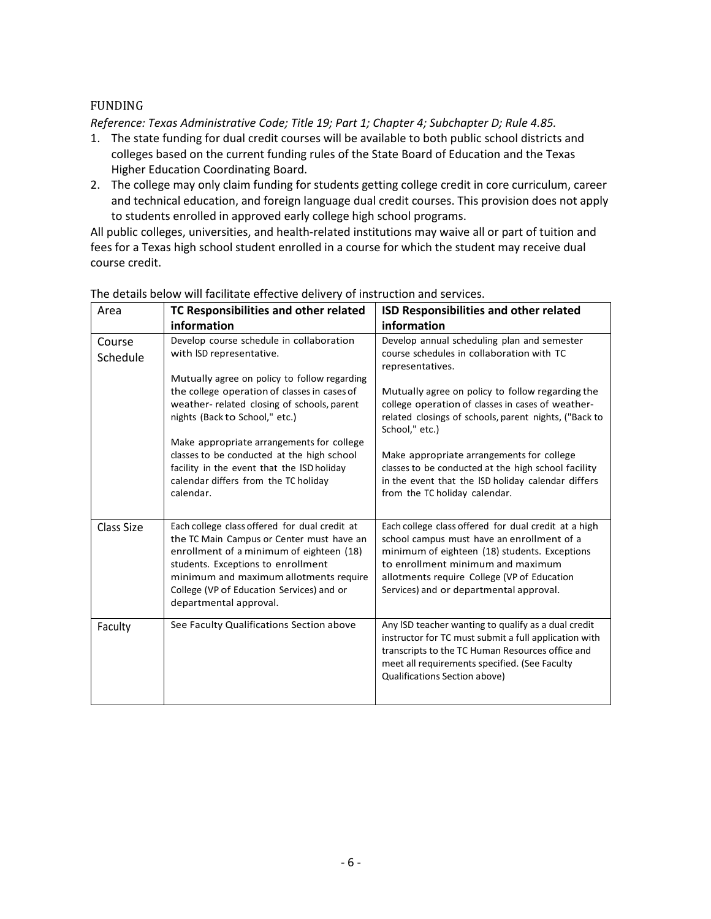#### FUNDING

*Reference: Texas Administrative Code; Title 19; Part 1; Chapter 4; Subchapter D; Rule 4.85.*

- 1. The state funding for dual credit courses will be available to both public school districts and colleges based on the current funding rules of the State Board of Education and the Texas Higher Education Coordinating Board.
- 2. The college may only claim funding for students getting college credit in core curriculum, career and technical education, and foreign language dual credit courses. This provision does not apply to students enrolled in approved early college high school programs.

All public colleges, universities, and health-related institutions may waive all or part of tuition and fees for a Texas high school student enrolled in a course for which the student may receive dual course credit.

| Area               | TC Responsibilities and other related                                                                                                                                                                                                                                                         | ISD Responsibilities and other related                                                                                                                                                                                                                                             |  |  |
|--------------------|-----------------------------------------------------------------------------------------------------------------------------------------------------------------------------------------------------------------------------------------------------------------------------------------------|------------------------------------------------------------------------------------------------------------------------------------------------------------------------------------------------------------------------------------------------------------------------------------|--|--|
|                    | information                                                                                                                                                                                                                                                                                   | information                                                                                                                                                                                                                                                                        |  |  |
| Course<br>Schedule | Develop course schedule in collaboration<br>with ISD representative.                                                                                                                                                                                                                          | Develop annual scheduling plan and semester<br>course schedules in collaboration with TC<br>representatives.                                                                                                                                                                       |  |  |
|                    | Mutually agree on policy to follow regarding<br>the college operation of classes in cases of<br>weather-related closing of schools, parent<br>nights (Back to School," etc.)                                                                                                                  | Mutually agree on policy to follow regarding the<br>college operation of classes in cases of weather-<br>related closings of schools, parent nights, ("Back to<br>School," etc.)                                                                                                   |  |  |
|                    | Make appropriate arrangements for college<br>classes to be conducted at the high school<br>facility in the event that the ISD holiday<br>calendar differs from the TC holiday<br>calendar.                                                                                                    | Make appropriate arrangements for college<br>classes to be conducted at the high school facility<br>in the event that the ISD holiday calendar differs<br>from the TC holiday calendar.                                                                                            |  |  |
| Class Size         | Each college class offered for dual credit at<br>the TC Main Campus or Center must have an<br>enrollment of a minimum of eighteen (18)<br>students. Exceptions to enrollment<br>minimum and maximum allotments require<br>College (VP of Education Services) and or<br>departmental approval. | Each college class offered for dual credit at a high<br>school campus must have an enrollment of a<br>minimum of eighteen (18) students. Exceptions<br>to enrollment minimum and maximum<br>allotments require College (VP of Education<br>Services) and or departmental approval. |  |  |
| Faculty            | See Faculty Qualifications Section above                                                                                                                                                                                                                                                      | Any ISD teacher wanting to qualify as a dual credit<br>instructor for TC must submit a full application with<br>transcripts to the TC Human Resources office and<br>meet all requirements specified. (See Faculty<br>Qualifications Section above)                                 |  |  |

The details below will facilitate effective delivery of instruction and services.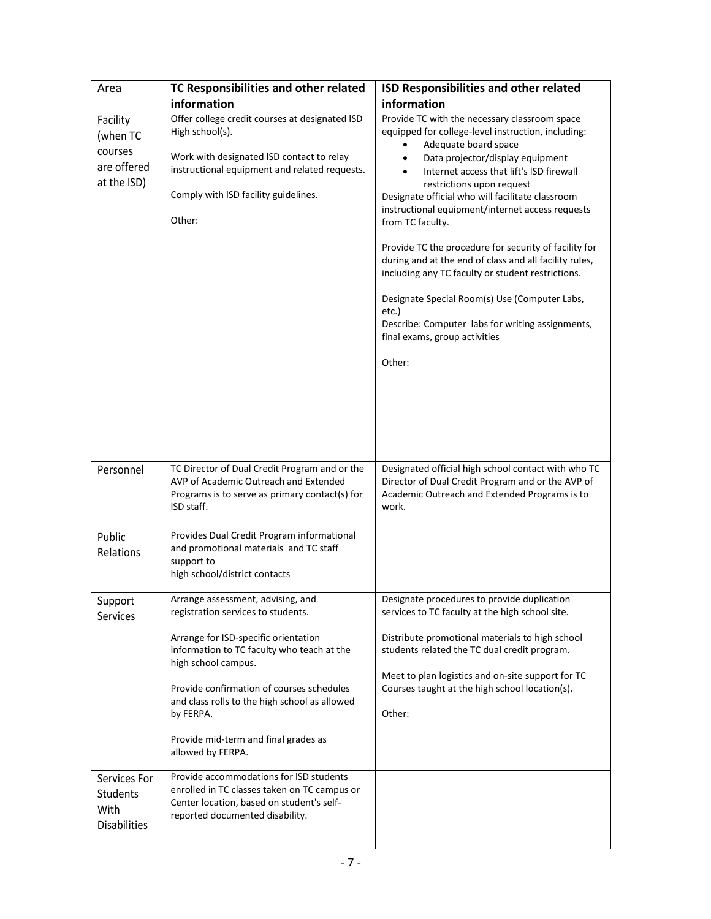| Area                                                          | TC Responsibilities and other related                                                                                                                                                                             | ISD Responsibilities and other related                                                                                                                                                                                                                                                                                                                                                                                                                                                                                                                                                                                                                                                                |  |  |
|---------------------------------------------------------------|-------------------------------------------------------------------------------------------------------------------------------------------------------------------------------------------------------------------|-------------------------------------------------------------------------------------------------------------------------------------------------------------------------------------------------------------------------------------------------------------------------------------------------------------------------------------------------------------------------------------------------------------------------------------------------------------------------------------------------------------------------------------------------------------------------------------------------------------------------------------------------------------------------------------------------------|--|--|
|                                                               | information                                                                                                                                                                                                       | information                                                                                                                                                                                                                                                                                                                                                                                                                                                                                                                                                                                                                                                                                           |  |  |
| Facility<br>(when TC<br>courses<br>are offered<br>at the ISD) | Offer college credit courses at designated ISD<br>High school(s).<br>Work with designated ISD contact to relay<br>instructional equipment and related requests.<br>Comply with ISD facility guidelines.<br>Other: | Provide TC with the necessary classroom space<br>equipped for college-level instruction, including:<br>Adequate board space<br>Data projector/display equipment<br>Internet access that lift's ISD firewall<br>restrictions upon request<br>Designate official who will facilitate classroom<br>instructional equipment/internet access requests<br>from TC faculty.<br>Provide TC the procedure for security of facility for<br>during and at the end of class and all facility rules,<br>including any TC faculty or student restrictions.<br>Designate Special Room(s) Use (Computer Labs,<br>etc.)<br>Describe: Computer labs for writing assignments,<br>final exams, group activities<br>Other: |  |  |
| Personnel                                                     | TC Director of Dual Credit Program and or the<br>AVP of Academic Outreach and Extended<br>Programs is to serve as primary contact(s) for<br>ISD staff.                                                            | Designated official high school contact with who TC<br>Director of Dual Credit Program and or the AVP of<br>Academic Outreach and Extended Programs is to<br>work.                                                                                                                                                                                                                                                                                                                                                                                                                                                                                                                                    |  |  |
| Public<br>Relations                                           | Provides Dual Credit Program informational<br>and promotional materials and TC staff<br>support to<br>high school/district contacts                                                                               |                                                                                                                                                                                                                                                                                                                                                                                                                                                                                                                                                                                                                                                                                                       |  |  |
| Support<br>Services                                           | Arrange assessment, advising, and<br>registration services to students.<br>Arrange for ISD-specific orientation<br>information to TC faculty who teach at the                                                     | Designate procedures to provide duplication<br>services to TC faculty at the high school site.<br>Distribute promotional materials to high school<br>students related the TC dual credit program.                                                                                                                                                                                                                                                                                                                                                                                                                                                                                                     |  |  |
|                                                               | high school campus.<br>Provide confirmation of courses schedules<br>and class rolls to the high school as allowed<br>by FERPA.<br>Provide mid-term and final grades as<br>allowed by FERPA.                       | Meet to plan logistics and on-site support for TC<br>Courses taught at the high school location(s).<br>Other:                                                                                                                                                                                                                                                                                                                                                                                                                                                                                                                                                                                         |  |  |
| Services For<br>Students<br>With<br><b>Disabilities</b>       | Provide accommodations for ISD students<br>enrolled in TC classes taken on TC campus or<br>Center location, based on student's self-<br>reported documented disability.                                           |                                                                                                                                                                                                                                                                                                                                                                                                                                                                                                                                                                                                                                                                                                       |  |  |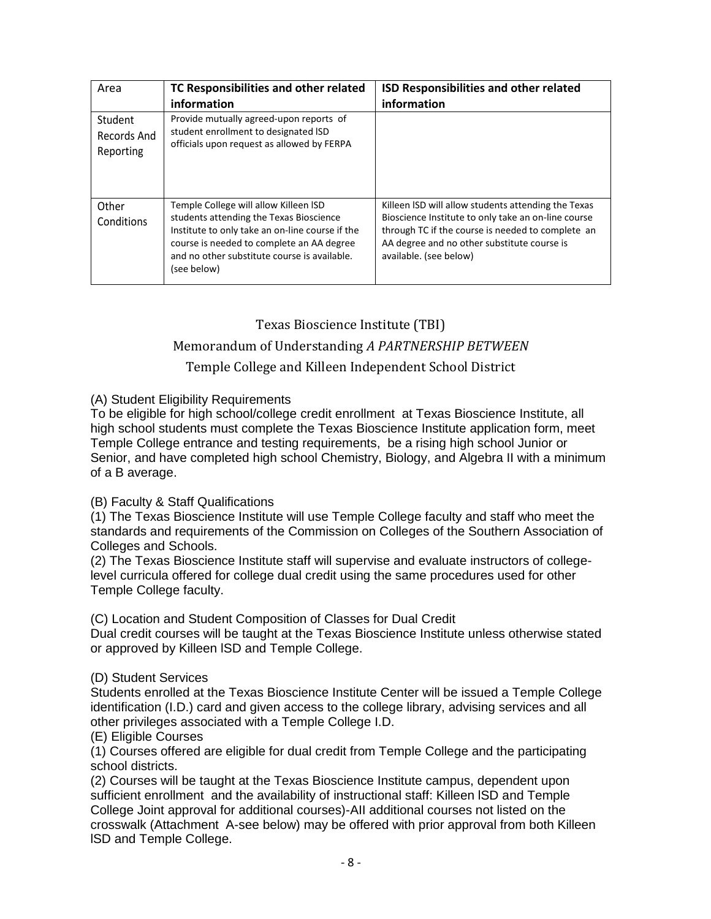| Area                                | TC Responsibilities and other related<br>information                                                                                                                                                                                            | <b>ISD Responsibilities and other related</b><br>information                                                                                                                                                                             |
|-------------------------------------|-------------------------------------------------------------------------------------------------------------------------------------------------------------------------------------------------------------------------------------------------|------------------------------------------------------------------------------------------------------------------------------------------------------------------------------------------------------------------------------------------|
| Student<br>Records And<br>Reporting | Provide mutually agreed-upon reports of<br>student enrollment to designated ISD<br>officials upon request as allowed by FERPA                                                                                                                   |                                                                                                                                                                                                                                          |
| Other<br>Conditions                 | Temple College will allow Killeen ISD<br>students attending the Texas Bioscience<br>Institute to only take an on-line course if the<br>course is needed to complete an AA degree<br>and no other substitute course is available.<br>(see below) | Killeen ISD will allow students attending the Texas<br>Bioscience Institute to only take an on-line course<br>through TC if the course is needed to complete an<br>AA degree and no other substitute course is<br>available. (see below) |

# Texas Bioscience Institute (TBI)

# Memorandum of Understanding *A PARTNERSHIP BETWEEN*

# Temple College and Killeen Independent School District

## (A) Student Eligibility Requirements

To be eligible for high school/college credit enrollment at Texas Bioscience Institute, all high school students must complete the Texas Bioscience Institute application form, meet Temple College entrance and testing requirements, be a rising high school Junior or Senior, and have completed high school Chemistry, Biology, and Algebra II with a minimum of a B average.

#### (B) Faculty & Staff Qualifications

(1) The Texas Bioscience Institute will use Temple College faculty and staff who meet the standards and requirements of the Commission on Colleges of the Southern Association of Colleges and Schools.

(2) The Texas Bioscience Institute staff will supervise and evaluate instructors of collegelevel curricula offered for college dual credit using the same procedures used for other Temple College faculty.

(C) Location and Student Composition of Classes for Dual Credit

Dual credit courses will be taught at the Texas Bioscience Institute unless otherwise stated or approved by Killeen lSD and Temple College.

#### (D) Student Services

Students enrolled at the Texas Bioscience Institute Center will be issued a Temple College identification (I.D.) card and given access to the college library, advising services and all other privileges associated with a Temple College I.D.

#### (E) Eligible Courses

(1) Courses offered are eligible for dual credit from Temple College and the participating school districts.

(2) Courses will be taught at the Texas Bioscience Institute campus, dependent upon sufficient enrollment and the availability of instructional staff: Killeen lSD and Temple College Joint approval for additional courses)-AII additional courses not listed on the crosswalk (Attachment A-see below) may be offered with prior approval from both Killeen lSD and Temple College.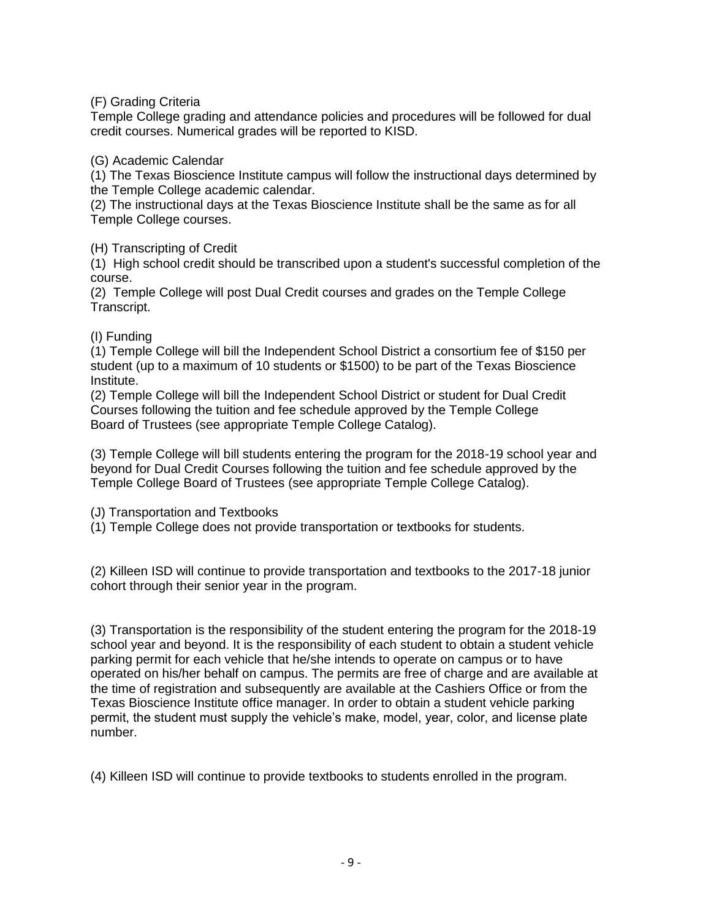(F) Grading Criteria

Temple College grading and attendance policies and procedures will be followed for dual credit courses. Numerical grades will be reported to KISD.

(G) Academic Calendar

(1) The Texas Bioscience Institute campus will follow the instructional days determined by the Temple College academic calendar.

(2) The instructional days at the Texas Bioscience Institute shall be the same as for all Temple College courses.

(H) Transcripting of Credit

(1) High school credit should be transcribed upon a student's successful completion of the course.

(2) Temple College will post Dual Credit courses and grades on the Temple College Transcript.

# (I) Funding

(1) Temple College will bill the Independent School District a consortium fee of \$150 per student (up to a maximum of 10 students or \$1500) to be part of the Texas Bioscience Institute.

(2) Temple College will bill the Independent School District or student for Dual Credit Courses following the tuition and fee schedule approved by the Temple College Board of Trustees (see appropriate Temple College Catalog).

(3) Temple College will bill students entering the program for the 2018-19 school year and beyond for Dual Credit Courses following the tuition and fee schedule approved by the Temple College Board of Trustees (see appropriate Temple College Catalog).

(J) Transportation and Textbooks

(1) Temple College does not provide transportation or textbooks for students.

(2) Killeen ISD will continue to provide transportation and textbooks to the 2017-18 junior cohort through their senior year in the program.

(3) Transportation is the responsibility of the student entering the program for the 2018-19 school year and beyond. It is the responsibility of each student to obtain a student vehicle parking permit for each vehicle that he/she intends to operate on campus or to have operated on his/her behalf on campus. The permits are free of charge and are available at the time of registration and subsequently are available at the Cashiers Office or from the Texas Bioscience Institute office manager. In order to obtain a student vehicle parking permit, the student must supply the vehicle's make, model, year, color, and license plate number.

(4) Killeen ISD will continue to provide textbooks to students enrolled in the program.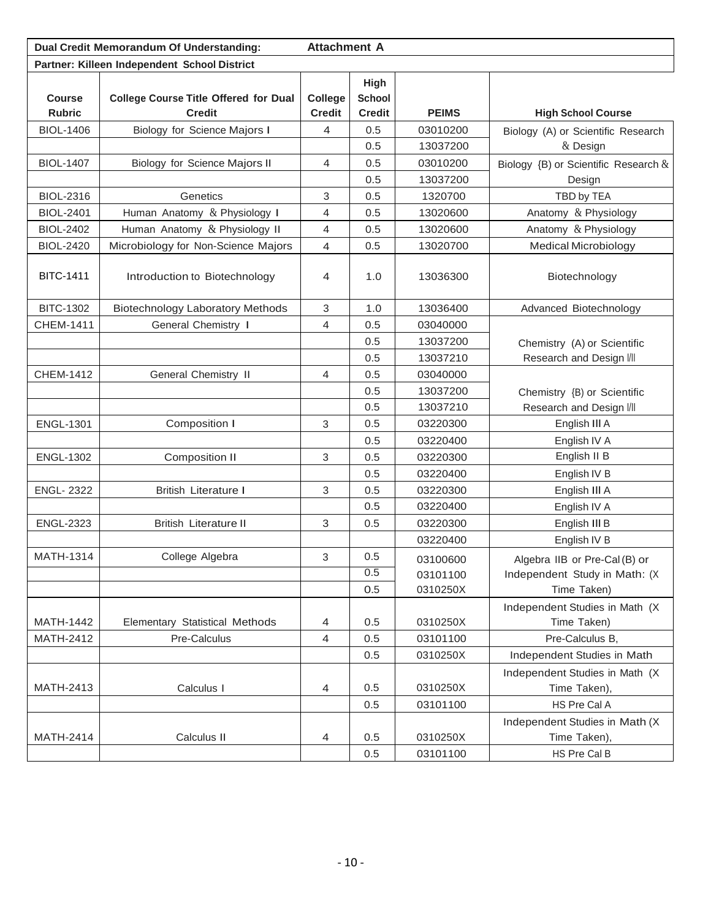| Dual Credit Memorandum Of Understanding:     |                                              | <b>Attachment A</b> |               |              |                                      |
|----------------------------------------------|----------------------------------------------|---------------------|---------------|--------------|--------------------------------------|
| Partner: Killeen Independent School District |                                              |                     |               |              |                                      |
|                                              |                                              |                     | High          |              |                                      |
| <b>Course</b>                                | <b>College Course Title Offered for Dual</b> | College             | <b>School</b> |              |                                      |
| <b>Rubric</b>                                | <b>Credit</b>                                | <b>Credit</b>       | <b>Credit</b> | <b>PEIMS</b> | <b>High School Course</b>            |
| <b>BIOL-1406</b>                             | <b>Biology for Science Majors I</b>          | 4                   | 0.5           | 03010200     | Biology (A) or Scientific Research   |
|                                              |                                              |                     | 0.5           | 13037200     | & Design                             |
| <b>BIOL-1407</b>                             | Biology for Science Majors II                | 4                   | 0.5           | 03010200     | Biology {B) or Scientific Research & |
|                                              |                                              |                     | 0.5           | 13037200     | Design                               |
| <b>BIOL-2316</b>                             | Genetics                                     | 3                   | 0.5           | 1320700      | TBD by TEA                           |
| <b>BIOL-2401</b>                             | Human Anatomy & Physiology I                 | 4                   | 0.5           | 13020600     | Anatomy & Physiology                 |
| <b>BIOL-2402</b>                             | Human Anatomy & Physiology II                | 4                   | 0.5           | 13020600     | Anatomy & Physiology                 |
| <b>BIOL-2420</b>                             | Microbiology for Non-Science Majors          | $\overline{4}$      | 0.5           | 13020700     | <b>Medical Microbiology</b>          |
| <b>BITC-1411</b>                             | Introduction to Biotechnology                | 4                   | 1.0           | 13036300     | Biotechnology                        |
| <b>BITC-1302</b>                             | <b>Biotechnology Laboratory Methods</b>      | 3                   | 1.0           | 13036400     | Advanced Biotechnology               |
| CHEM-1411                                    | General Chemistry I                          | 4                   | 0.5           | 03040000     |                                      |
|                                              |                                              |                     | 0.5           | 13037200     | Chemistry (A) or Scientific          |
|                                              |                                              |                     | 0.5           | 13037210     | Research and Design I/II             |
| CHEM-1412                                    | <b>General Chemistry II</b>                  | 4                   | 0.5           | 03040000     |                                      |
|                                              |                                              |                     | 0.5           | 13037200     | Chemistry {B) or Scientific          |
|                                              |                                              |                     | 0.5           | 13037210     | Research and Design I/II             |
| <b>ENGL-1301</b>                             | Composition I                                | 3                   | 0.5           | 03220300     | English III A                        |
|                                              |                                              |                     | 0.5           | 03220400     | English IV A                         |
| <b>ENGL-1302</b>                             | Composition II                               | 3                   | 0.5           | 03220300     | English II B                         |
|                                              |                                              |                     | 0.5           | 03220400     | English IV B                         |
| <b>ENGL-2322</b>                             | <b>British Literature I</b>                  | 3                   | 0.5           | 03220300     | English III A                        |
|                                              |                                              |                     | 0.5           | 03220400     | English IV A                         |
| <b>ENGL-2323</b>                             | <b>British Literature II</b>                 | 3                   | 0.5           | 03220300     | English III B                        |
|                                              |                                              |                     |               | 03220400     | English IV B                         |
| MATH-1314                                    | College Algebra                              | 3                   | 0.5           | 03100600     | Algebra IIB or Pre-Cal (B) or        |
|                                              |                                              |                     | 0.5           | 03101100     | Independent Study in Math: (X        |
|                                              |                                              |                     | 0.5           | 0310250X     | Time Taken)                          |
|                                              |                                              |                     |               |              | Independent Studies in Math (X       |
| <b>MATH-1442</b>                             | Elementary Statistical Methods               | 4                   | 0.5           | 0310250X     | Time Taken)                          |
| MATH-2412                                    | Pre-Calculus                                 | 4                   | 0.5           | 03101100     | Pre-Calculus B,                      |
|                                              |                                              |                     | 0.5           | 0310250X     | Independent Studies in Math          |
|                                              |                                              |                     |               |              | Independent Studies in Math (X       |
| MATH-2413                                    | Calculus I                                   | 4                   | 0.5           | 0310250X     | Time Taken),                         |
|                                              |                                              |                     | 0.5           | 03101100     | HS Pre Cal A                         |
|                                              |                                              |                     |               |              | Independent Studies in Math (X       |
| MATH-2414                                    | Calculus II                                  | 4                   | 0.5           | 0310250X     | Time Taken),                         |
|                                              |                                              |                     | 0.5           | 03101100     | HS Pre Cal B                         |